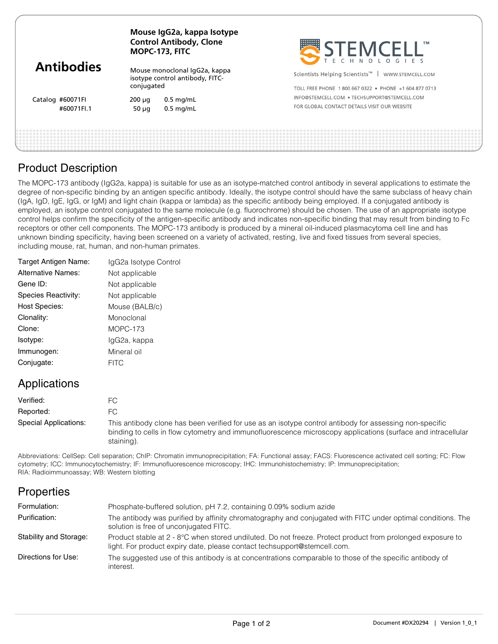| <b>Antibodies</b>              | Mouse IgG2a, kappa Isotype<br><b>Control Antibody, Clone</b><br>MOPC-173, FITC |                                                                  | STEMCELL'                                                                                                              |
|--------------------------------|--------------------------------------------------------------------------------|------------------------------------------------------------------|------------------------------------------------------------------------------------------------------------------------|
|                                | conjugated                                                                     | Mouse monoclonal IgG2a, kappa<br>isotype control antibody, FITC- | Scientists Helping Scientists <sup>™</sup>   WWW.STEMCELL.COM<br>TOLL FREE PHONE 1800 667 0322 • PHONE +1 604 877 0713 |
| Catalog #60071FI<br>#60071FI.1 | $200 \mu q$<br>$50 \mu q$                                                      | $0.5$ mg/mL<br>$0.5$ mg/mL                                       | INFO@STEMCELL.COM . TECHSUPPORT@STEMCELL.COM<br>FOR GLOBAL CONTACT DETAILS VISIT OUR WEBSITE                           |
|                                |                                                                                |                                                                  |                                                                                                                        |

## Product Description

The MOPC-173 antibody (IgG2a, kappa) is suitable for use as an isotype-matched control antibody in several applications to estimate the degree of non-specific binding by an antigen specific antibody. Ideally, the isotype control should have the same subclass of heavy chain (IgA, IgD, IgE, IgG, or IgM) and light chain (kappa or lambda) as the specific antibody being employed. If a conjugated antibody is employed, an isotype control conjugated to the same molecule (e.g. fluorochrome) should be chosen. The use of an appropriate isotype control helps confirm the specificity of the antigen-specific antibody and indicates non-specific binding that may result from binding to Fc receptors or other cell components. The MOPC-173 antibody is produced by a mineral oil-induced plasmacytoma cell line and has unknown binding specificity, having been screened on a variety of activated, resting, live and fixed tissues from several species, including mouse, rat, human, and non-human primates.

| Target Antigen Name:      | IgG2a Isotype Control |
|---------------------------|-----------------------|
| <b>Alternative Names:</b> | Not applicable        |
| Gene ID:                  | Not applicable        |
| Species Reactivity:       | Not applicable        |
| <b>Host Species:</b>      | Mouse (BALB/c)        |
| Clonality:                | Monoclonal            |
| Clone:                    | $MOPC-173$            |
| Isotype:                  | IgG2a, kappa          |
| Immunogen:                | Mineral oil           |
| Conjugate:                | <b>FITC</b>           |
|                           |                       |

# Applications

| Verified:             |                                                                                                                                                                                                                                       |
|-----------------------|---------------------------------------------------------------------------------------------------------------------------------------------------------------------------------------------------------------------------------------|
| Reported:             | FC.                                                                                                                                                                                                                                   |
| Special Applications: | This antibody clone has been verified for use as an isotype control antibody for assessing non-specific<br>binding to cells in flow cytometry and immunofluorescence microscopy applications (surface and intracellular<br>staining). |

Abbreviations: CellSep: Cell separation; ChIP: Chromatin immunoprecipitation; FA: Functional assay; FACS: Fluorescence activated cell sorting; FC: Flow cytometry; ICC: Immunocytochemistry; IF: Immunofluorescence microscopy; IHC: Immunohistochemistry; IP: Immunoprecipitation; RIA: Radioimmunoassay; WB: Western blotting

# **Properties**

| Formulation:           | Phosphate-buffered solution, pH 7.2, containing 0.09% sodium azide                                                                                                                     |
|------------------------|----------------------------------------------------------------------------------------------------------------------------------------------------------------------------------------|
| Purification:          | The antibody was purified by affinity chromatography and conjugated with FITC under optimal conditions. The<br>solution is free of unconjugated FITC.                                  |
| Stability and Storage: | Product stable at 2 - 8°C when stored undiluted. Do not freeze. Protect product from prolonged exposure to<br>light. For product expiry date, please contact techsupport@stemcell.com. |
| Directions for Use:    | The suggested use of this antibody is at concentrations comparable to those of the specific antibody of<br>interest.                                                                   |